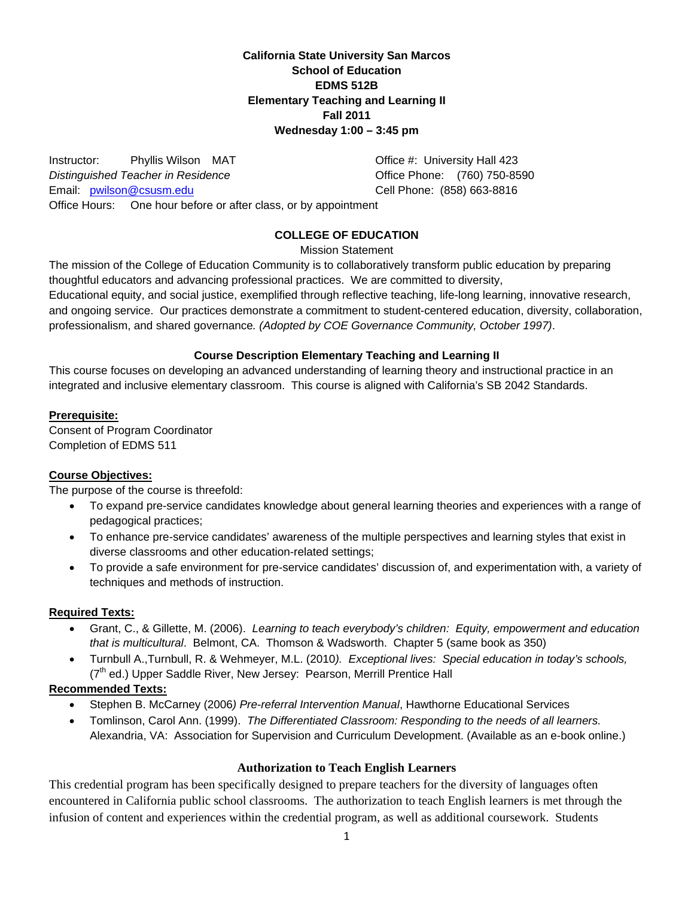**California State University San Marcos School of Education EDMS 512B Elementary Teaching and Learning II Fall 2011 Wednesday 1:00 – 3:45 pm** 

Office Phone: (760) 750-8590 Email: wilson@csusm.edu Cell Phone: (858) 663-8816 Office Hours: One hour before or after class, or by appointment Instructor: Phyllis Wilson MAT Office #: University Hall 423 **Distinguished Teacher in Residence** 

# **COLLEGE OF EDUCATION**

Mission Statement

The mission of the College of Education Community is to collaboratively transform public education by preparing thoughtful educators and advancing professional practices. We are committed to diversity, Educational equity, and social justice, exemplified through reflective teaching, life-long learning, innovative research, and ongoing service. Our practices demonstrate a commitment to student-centered education, diversity, collaboration, professionalism, and shared governance*. (Adopted by COE Governance Community, October 1997)*.

# **Course Description Elementary Teaching and Learning II**

This course focuses on developing an advanced understanding of learning theory and instructional practice in an integrated and inclusive elementary classroom. This course is aligned with California's SB 2042 Standards.

# **Prerequisite:**

Consent of Program Coordinator Completion of EDMS 511

## **Course Objectives:**

The purpose of the course is threefold:

- To expand pre-service candidates knowledge about general learning theories and experiences with a range of pedagogical practices;
- To enhance pre-service candidates' awareness of the multiple perspectives and learning styles that exist in diverse classrooms and other education-related settings;
- To provide a safe environment for pre-service candidates' discussion of, and experimentation with, a variety of techniques and methods of instruction.

## **Required Texts:**

- Grant, C., & Gillette, M. (2006). *Learning to teach everybody's children: Equity, empowerment and education that is multicultural*. Belmont, CA. Thomson & Wadsworth. Chapter 5 (same book as 350)
- Turnbull A.,Turnbull, R. & Wehmeyer, M.L. (2010*). Exceptional lives: Special education in today's schools,*  (7<sup>th</sup> ed.) Upper Saddle River, New Jersey: Pearson, Merrill Prentice Hall

# **Recommended Texts:**

- Stephen B. McCarney (2006*) Pre-referral Intervention Manual*, Hawthorne Educational Services
- Tomlinson, Carol Ann. (1999). *The Differentiated Classroom: Responding to the needs of all learners.*  Alexandria, VA: Association for Supervision and Curriculum Development. (Available as an e-book online.)

## **Authorization to Teach English Learners**

This credential program has been specifically designed to prepare teachers for the diversity of languages often encountered in California public school classrooms. The authorization to teach English learners is met through the infusion of content and experiences within the credential program, as well as additional coursework. Students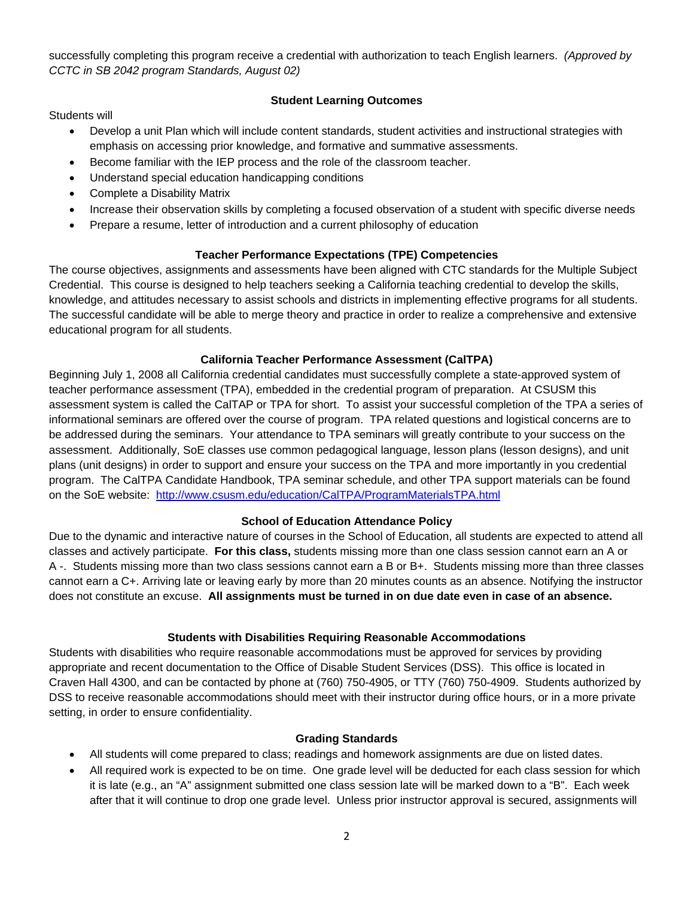successfully completing this program receive a credential with authorization to teach English learners. *(Approved by CCTC in SB 2042 program Standards, August 02)* 

# **Student Learning Outcomes**

Students will

- Develop a unit Plan which will include content standards, student activities and instructional strategies with emphasis on accessing prior knowledge, and formative and summative assessments.
- Become familiar with the IEP process and the role of the classroom teacher.
- Understand special education handicapping conditions
- Complete a Disability Matrix
- Increase their observation skills by completing a focused observation of a student with specific diverse needs
- Prepare a resume, letter of introduction and a current philosophy of education

# **Teacher Performance Expectations (TPE) Competencies**

The course objectives, assignments and assessments have been aligned with CTC standards for the Multiple Subject Credential. This course is designed to help teachers seeking a California teaching credential to develop the skills, knowledge, and attitudes necessary to assist schools and districts in implementing effective programs for all students. The successful candidate will be able to merge theory and practice in order to realize a comprehensive and extensive educational program for all students.

# **California Teacher Performance Assessment (CalTPA)**

on the SoE website: http://www.csusm.edu/education/CalTPA/ProgramMaterialsTPA.html Beginning July 1, 2008 all California credential candidates must successfully complete a state-approved system of teacher performance assessment (TPA), embedded in the credential program of preparation. At CSUSM this assessment system is called the CalTAP or TPA for short. To assist your successful completion of the TPA a series of informational seminars are offered over the course of program. TPA related questions and logistical concerns are to be addressed during the seminars. Your attendance to TPA seminars will greatly contribute to your success on the assessment. Additionally, SoE classes use common pedagogical language, lesson plans (lesson designs), and unit plans (unit designs) in order to support and ensure your success on the TPA and more importantly in you credential program. The CalTPA Candidate Handbook, TPA seminar schedule, and other TPA support materials can be found

## **School of Education Attendance Policy**

Due to the dynamic and interactive nature of courses in the School of Education, all students are expected to attend all classes and actively participate. **For this class,** students missing more than one class session cannot earn an A or A -. Students missing more than two class sessions cannot earn a B or B+. Students missing more than three classes cannot earn a C+. Arriving late or leaving early by more than 20 minutes counts as an absence. Notifying the instructor does not constitute an excuse. **All assignments must be turned in on due date even in case of an absence.** 

## **Students with Disabilities Requiring Reasonable Accommodations**

Students with disabilities who require reasonable accommodations must be approved for services by providing appropriate and recent documentation to the Office of Disable Student Services (DSS). This office is located in Craven Hall 4300, and can be contacted by phone at (760) 750-4905, or TTY (760) 750-4909. Students authorized by DSS to receive reasonable accommodations should meet with their instructor during office hours, or in a more private setting, in order to ensure confidentiality.

## **Grading Standards**

- All students will come prepared to class; readings and homework assignments are due on listed dates.
- All required work is expected to be on time. One grade level will be deducted for each class session for which it is late (e.g., an "A" assignment submitted one class session late will be marked down to a "B". Each week after that it will continue to drop one grade level. Unless prior instructor approval is secured, assignments will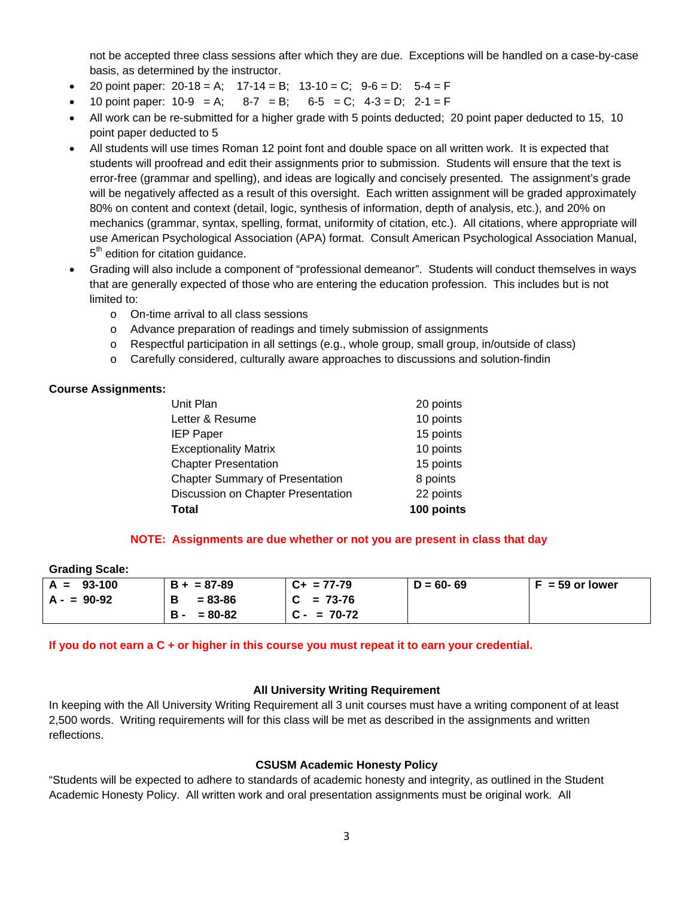not be accepted three class sessions after which they are due. Exceptions will be handled on a case-by-case basis, as determined by the instructor.

- 20 point paper: 20-18 = A;  $17-14 = B$ ;  $13-10 = C$ ;  $9-6 = D$ :  $5-4 = F$
- 10 point paper:  $10-9 = A$ ;  $8-7 = B$ ;  $6-5 = C$ ;  $4-3 = D$ ;  $2-1 = F$
- All work can be re-submitted for a higher grade with 5 points deducted; 20 point paper deducted to 15, 10 point paper deducted to 5
- All students will use times Roman 12 point font and double space on all written work. It is expected that students will proofread and edit their assignments prior to submission. Students will ensure that the text is error-free (grammar and spelling), and ideas are logically and concisely presented. The assignment's grade will be negatively affected as a result of this oversight. Each written assignment will be graded approximately 80% on content and context (detail, logic, synthesis of information, depth of analysis, etc.), and 20% on mechanics (grammar, syntax, spelling, format, uniformity of citation, etc.). All citations, where appropriate will use American Psychological Association (APA) format. Consult American Psychological Association Manual, 5<sup>th</sup> edition for citation guidance.
- Grading will also include a component of "professional demeanor". Students will conduct themselves in ways that are generally expected of those who are entering the education profession. This includes but is not limited to:
	- o On-time arrival to all class sessions
	- o Advance preparation of readings and timely submission of assignments
	- $\circ$  Respectful participation in all settings (e.g., whole group, small group, in/outside of class)
	- $\circ$  Carefully considered, culturally aware approaches to discussions and solution-findin

# **Course Assignments:**

| Total                                  | 100 points |
|----------------------------------------|------------|
| Discussion on Chapter Presentation     | 22 points  |
| <b>Chapter Summary of Presentation</b> | 8 points   |
| <b>Chapter Presentation</b>            | 15 points  |
| <b>Exceptionality Matrix</b>           | 10 points  |
| <b>IEP Paper</b>                       | 15 points  |
| Letter & Resume                        | 10 points  |
| Unit Plan                              | 20 points  |
|                                        |            |

## **NOTE: Assignments are due whether or not you are present in class that day**

## **Grading Scale:**

| $A = 93-100$ | $B + = 87 - 89$           | $C_{+}$ = 77-79 | $D = 60 - 69$ | $F = 59$ or lower |
|--------------|---------------------------|-----------------|---------------|-------------------|
| $A - 90-92$  | $= 83 - 86$<br>В          | $C = 73-76$     |               |                   |
|              | <b>B</b> -<br>$= 80 - 82$ | $C - 70-72$     |               |                   |

**If you do not earn a C + or higher in this course you must repeat it to earn your credential.** 

## **All University Writing Requirement**

In keeping with the All University Writing Requirement all 3 unit courses must have a writing component of at least 2,500 words. Writing requirements will for this class will be met as described in the assignments and written reflections.

# **CSUSM Academic Honesty Policy**

"Students will be expected to adhere to standards of academic honesty and integrity, as outlined in the Student Academic Honesty Policy. All written work and oral presentation assignments must be original work. All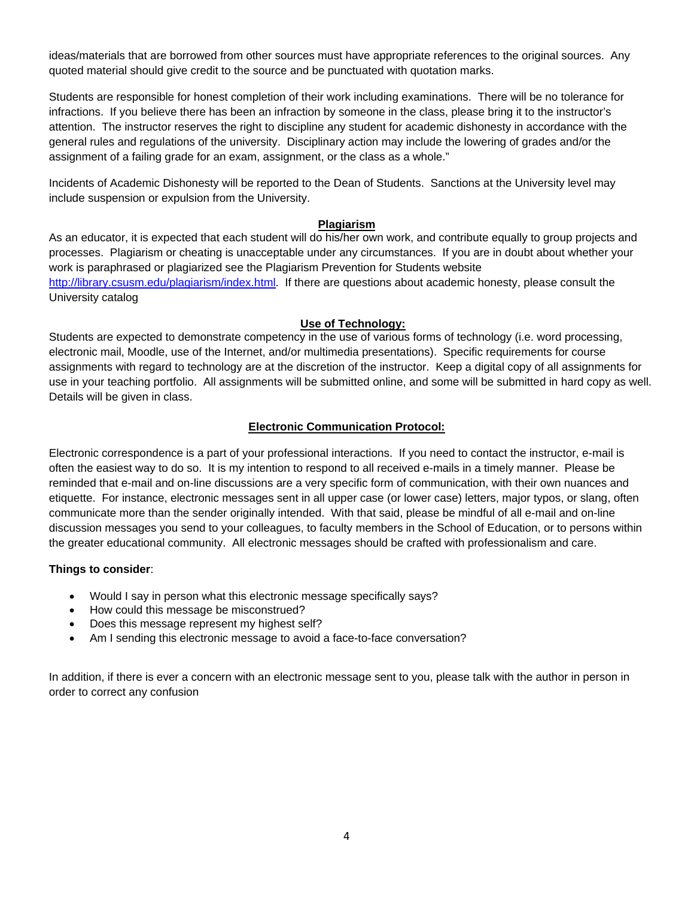ideas/materials that are borrowed from other sources must have appropriate references to the original sources. Any quoted material should give credit to the source and be punctuated with quotation marks.

Students are responsible for honest completion of their work including examinations. There will be no tolerance for infractions. If you believe there has been an infraction by someone in the class, please bring it to the instructor's attention. The instructor reserves the right to discipline any student for academic dishonesty in accordance with the general rules and regulations of the university. Disciplinary action may include the lowering of grades and/or the assignment of a failing grade for an exam, assignment, or the class as a whole."

Incidents of Academic Dishonesty will be reported to the Dean of Students. Sanctions at the University level may include suspension or expulsion from the University.

# **Plagiarism**

As an educator, it is expected that each student will do his/her own work, and contribute equally to group projects and processes. Plagiarism or cheating is unacceptable under any circumstances. If you are in doubt about whether your work is paraphrased or plagiarized see the Plagiarism Prevention for Students website http://library.csusm.edu/plagiarism/index.html. If there are questions about academic honesty, please consult the University catalog

# **Use of Technology:**

use in your teaching portfolio. All assignments will be submitted online, and some will be submitted in hard copy as well.<br>Details will be given in class. Students are expected to demonstrate competency in the use of various forms of technology (i.e. word processing, electronic mail, Moodle, use of the Internet, and/or multimedia presentations). Specific requirements for course assignments with regard to technology are at the discretion of the instructor. Keep a digital copy of all assignments for

# **Electronic Communication Protocol:**

Electronic correspondence is a part of your professional interactions. If you need to contact the instructor, e-mail is often the easiest way to do so. It is my intention to respond to all received e-mails in a timely manner. Please be reminded that e-mail and on-line discussions are a very specific form of communication, with their own nuances and etiquette. For instance, electronic messages sent in all upper case (or lower case) letters, major typos, or slang, often communicate more than the sender originally intended. With that said, please be mindful of all e-mail and on-line discussion messages you send to your colleagues, to faculty members in the School of Education, or to persons within the greater educational community. All electronic messages should be crafted with professionalism and care.

# **Things to consider**:

- Would I say in person what this electronic message specifically says?
- How could this message be misconstrued?
- Does this message represent my highest self?
- Am I sending this electronic message to avoid a face-to-face conversation?

In addition, if there is ever a concern with an electronic message sent to you, please talk with the author in person in order to correct any confusion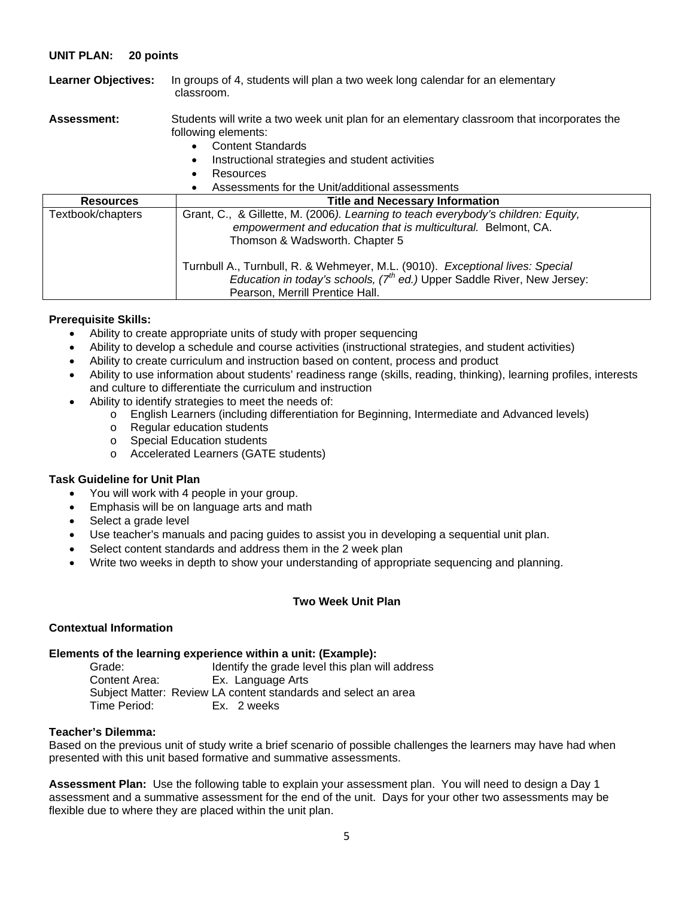## **UNIT PLAN: 20 points**

| <b>Learner Objectives:</b> | In groups of 4, students will plan a two week long calendar for an elementary<br>classroom.                                                                                                                                                                                                                                                                                          |
|----------------------------|--------------------------------------------------------------------------------------------------------------------------------------------------------------------------------------------------------------------------------------------------------------------------------------------------------------------------------------------------------------------------------------|
| <b>Assessment:</b>         | Students will write a two week unit plan for an elementary classroom that incorporates the<br>following elements:<br><b>Content Standards</b><br>$\bullet$<br>Instructional strategies and student activities<br>$\bullet$<br>Resources<br>$\bullet$<br>Assessments for the Unit/additional assessments<br>$\bullet$                                                                 |
| <b>Resources</b>           | <b>Title and Necessary Information</b>                                                                                                                                                                                                                                                                                                                                               |
| Textbook/chapters          | Grant, C., & Gillette, M. (2006). Learning to teach everybody's children: Equity,<br>empowerment and education that is multicultural. Belmont, CA.<br>Thomson & Wadsworth. Chapter 5<br>Turnbull A., Turnbull, R. & Wehmeyer, M.L. (9010). Exceptional lives: Special<br>Education in today's schools, $7th$ ed.) Upper Saddle River, New Jersey:<br>Pearson, Merrill Prentice Hall. |

## **Prerequisite Skills:**

- Ability to create appropriate units of study with proper sequencing
- Ability to develop a schedule and course activities (instructional strategies, and student activities)
- Ability to create curriculum and instruction based on content, process and product
- Ability to use information about students' readiness range (skills, reading, thinking), learning profiles, interests and culture to differentiate the curriculum and instruction
- Ability to identify strategies to meet the needs of:
	- o English Learners (including differentiation for Beginning, Intermediate and Advanced levels)
	- o Regular education students
	- o Special Education students
	- o Accelerated Learners (GATE students)

## **Task Guideline for Unit Plan**

- You will work with 4 people in your group.
- Emphasis will be on language arts and math
- Select a grade level
- Use teacher's manuals and pacing guides to assist you in developing a sequential unit plan.
- Select content standards and address them in the 2 week plan
- Write two weeks in depth to show your understanding of appropriate sequencing and planning.

# **Two Week Unit Plan**

## **Contextual Information**

## **Elements of the learning experience within a unit: (Example):**

Grade: Identify the grade level this plan will address Content Area: Ex. Language Arts Subject Matter: Review LA content standards and select an area Time Period: Ex. 2 weeks

## **Teacher's Dilemma:**

Based on the previous unit of study write a brief scenario of possible challenges the learners may have had when presented with this unit based formative and summative assessments.

**Assessment Plan:** Use the following table to explain your assessment plan. You will need to design a Day 1 assessment and a summative assessment for the end of the unit. Days for your other two assessments may be flexible due to where they are placed within the unit plan.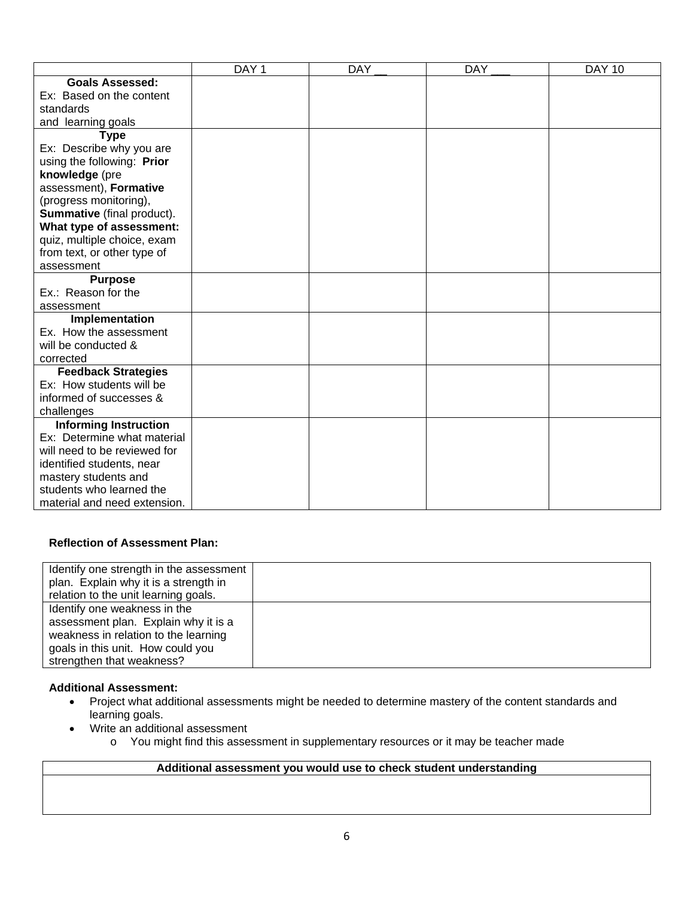|                                   | DAY <sub>1</sub> | <b>DAY</b> | <b>DAY</b> | <b>DAY 10</b> |
|-----------------------------------|------------------|------------|------------|---------------|
| <b>Goals Assessed:</b>            |                  |            |            |               |
| Ex: Based on the content          |                  |            |            |               |
| standards                         |                  |            |            |               |
| and learning goals                |                  |            |            |               |
| <b>Type</b>                       |                  |            |            |               |
| Ex: Describe why you are          |                  |            |            |               |
| using the following: Prior        |                  |            |            |               |
| knowledge (pre                    |                  |            |            |               |
| assessment), Formative            |                  |            |            |               |
| (progress monitoring),            |                  |            |            |               |
| <b>Summative</b> (final product). |                  |            |            |               |
| What type of assessment:          |                  |            |            |               |
| quiz, multiple choice, exam       |                  |            |            |               |
| from text, or other type of       |                  |            |            |               |
| assessment                        |                  |            |            |               |
| <b>Purpose</b>                    |                  |            |            |               |
| Ex.: Reason for the               |                  |            |            |               |
| assessment                        |                  |            |            |               |
| Implementation                    |                  |            |            |               |
| Ex. How the assessment            |                  |            |            |               |
| will be conducted &               |                  |            |            |               |
| corrected                         |                  |            |            |               |
| <b>Feedback Strategies</b>        |                  |            |            |               |
| Ex: How students will be          |                  |            |            |               |
| informed of successes &           |                  |            |            |               |
| challenges                        |                  |            |            |               |
| <b>Informing Instruction</b>      |                  |            |            |               |
| Ex: Determine what material       |                  |            |            |               |
| will need to be reviewed for      |                  |            |            |               |
| identified students, near         |                  |            |            |               |
| mastery students and              |                  |            |            |               |
| students who learned the          |                  |            |            |               |
| material and need extension.      |                  |            |            |               |

# **Reflection of Assessment Plan:**

| Identify one strength in the assessment<br>plan. Explain why it is a strength in<br>relation to the unit learning goals.                                                       |  |
|--------------------------------------------------------------------------------------------------------------------------------------------------------------------------------|--|
| Identify one weakness in the<br>assessment plan. Explain why it is a<br>weakness in relation to the learning<br>goals in this unit. How could you<br>strengthen that weakness? |  |

# **Additional Assessment:**

- Project what additional assessments might be needed to determine mastery of the content standards and learning goals.
- Write an additional assessment
	- o You might find this assessment in supplementary resources or it may be teacher made

# **Additional assessment you would use to check student understanding**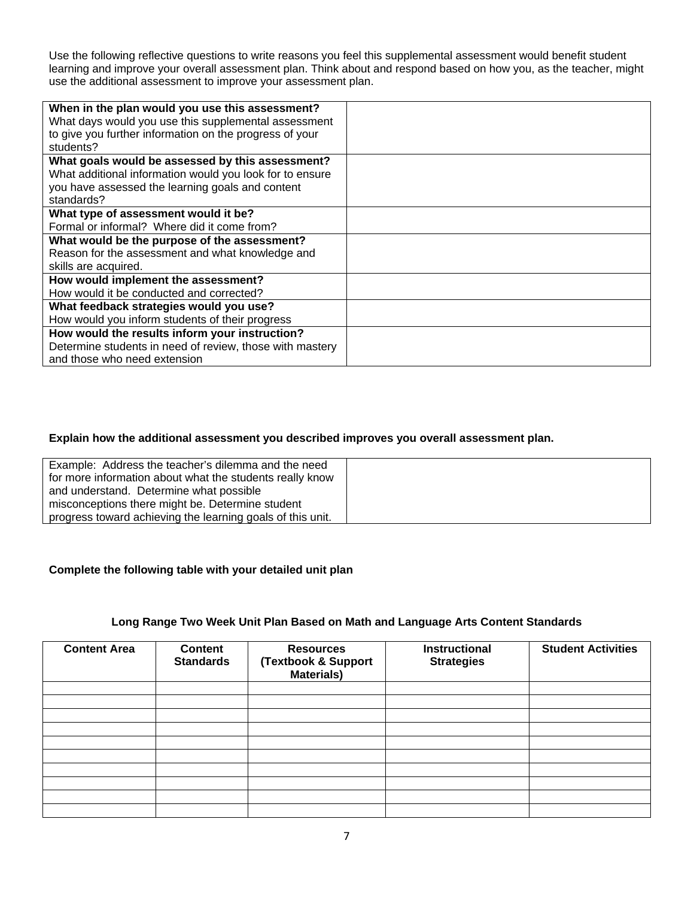Use the following reflective questions to write reasons you feel this supplemental assessment would benefit student learning and improve your overall assessment plan. Think about and respond based on how you, as the teacher, might use the additional assessment to improve your assessment plan.

| When in the plan would you use this assessment?          |  |
|----------------------------------------------------------|--|
| What days would you use this supplemental assessment     |  |
|                                                          |  |
| to give you further information on the progress of your  |  |
| students?                                                |  |
| What goals would be assessed by this assessment?         |  |
| What additional information would you look for to ensure |  |
| you have assessed the learning goals and content         |  |
| standards?                                               |  |
| What type of assessment would it be?                     |  |
| Formal or informal? Where did it come from?              |  |
| What would be the purpose of the assessment?             |  |
| Reason for the assessment and what knowledge and         |  |
| skills are acquired.                                     |  |
| How would implement the assessment?                      |  |
| How would it be conducted and corrected?                 |  |
| What feedback strategies would you use?                  |  |
| How would you inform students of their progress          |  |
| How would the results inform your instruction?           |  |
| Determine students in need of review, those with mastery |  |
| and those who need extension                             |  |

# **Explain how the additional assessment you described improves you overall assessment plan.**

| Example: Address the teacher's dilemma and the need<br>for more information about what the students really know<br>and understand. Determine what possible |  |
|------------------------------------------------------------------------------------------------------------------------------------------------------------|--|
| misconceptions there might be. Determine student<br>progress toward achieving the learning goals of this unit.                                             |  |

# **Complete the following table with your detailed unit plan**

## **Long Range Two Week Unit Plan Based on Math and Language Arts Content Standards**

| <b>Content Area</b> | <b>Content</b><br><b>Standards</b> | <b>Resources</b><br>(Textbook & Support<br>Materials) | <b>Instructional</b><br><b>Strategies</b> | <b>Student Activities</b> |
|---------------------|------------------------------------|-------------------------------------------------------|-------------------------------------------|---------------------------|
|                     |                                    |                                                       |                                           |                           |
|                     |                                    |                                                       |                                           |                           |
|                     |                                    |                                                       |                                           |                           |
|                     |                                    |                                                       |                                           |                           |
|                     |                                    |                                                       |                                           |                           |
|                     |                                    |                                                       |                                           |                           |
|                     |                                    |                                                       |                                           |                           |
|                     |                                    |                                                       |                                           |                           |
|                     |                                    |                                                       |                                           |                           |
|                     |                                    |                                                       |                                           |                           |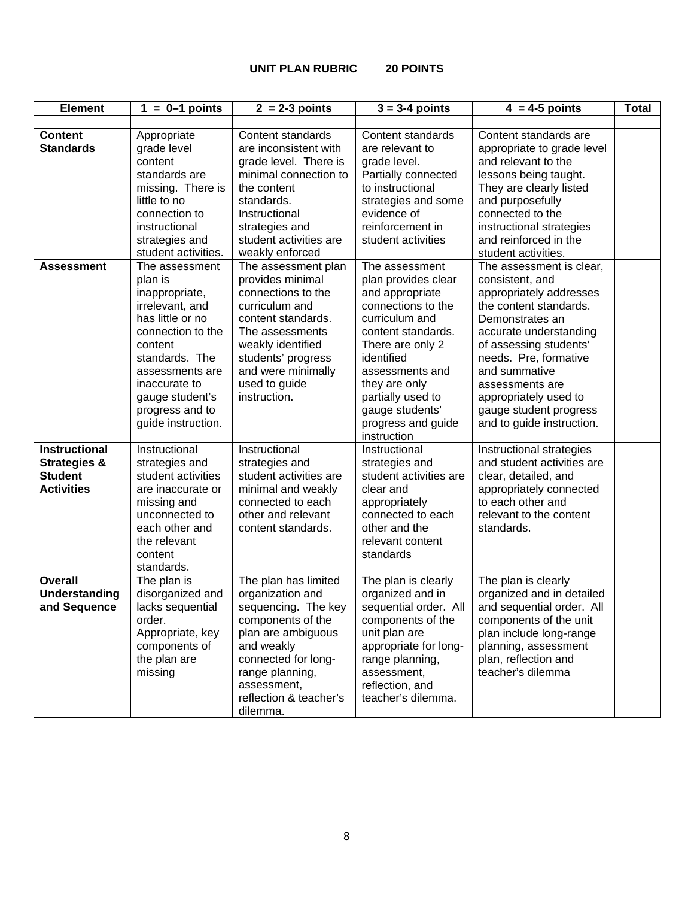#### **UNIT PLAN RUBRIC 20 POINTS**

| <b>Element</b>                                                                         | $1 = 0-1$ points                                                                                                                                                                                                                     | $2 = 2-3$ points                                                                                                                                                                                                           | $3 = 3-4$ points                                                                                                                                                                                                                                                          | $4 = 4-5$ points                                                                                                                                                                                                                                                                                                     | <b>Total</b> |
|----------------------------------------------------------------------------------------|--------------------------------------------------------------------------------------------------------------------------------------------------------------------------------------------------------------------------------------|----------------------------------------------------------------------------------------------------------------------------------------------------------------------------------------------------------------------------|---------------------------------------------------------------------------------------------------------------------------------------------------------------------------------------------------------------------------------------------------------------------------|----------------------------------------------------------------------------------------------------------------------------------------------------------------------------------------------------------------------------------------------------------------------------------------------------------------------|--------------|
|                                                                                        |                                                                                                                                                                                                                                      |                                                                                                                                                                                                                            |                                                                                                                                                                                                                                                                           |                                                                                                                                                                                                                                                                                                                      |              |
| <b>Content</b><br><b>Standards</b>                                                     | Appropriate<br>grade level                                                                                                                                                                                                           | Content standards<br>are inconsistent with                                                                                                                                                                                 | Content standards<br>are relevant to                                                                                                                                                                                                                                      | Content standards are<br>appropriate to grade level                                                                                                                                                                                                                                                                  |              |
|                                                                                        | content<br>standards are                                                                                                                                                                                                             | grade level. There is<br>minimal connection to                                                                                                                                                                             | grade level.<br>Partially connected                                                                                                                                                                                                                                       | and relevant to the<br>lessons being taught.                                                                                                                                                                                                                                                                         |              |
|                                                                                        | missing. There is<br>little to no                                                                                                                                                                                                    | the content<br>standards.                                                                                                                                                                                                  | to instructional<br>strategies and some                                                                                                                                                                                                                                   | They are clearly listed<br>and purposefully                                                                                                                                                                                                                                                                          |              |
|                                                                                        | connection to<br>instructional                                                                                                                                                                                                       | Instructional<br>strategies and                                                                                                                                                                                            | evidence of<br>reinforcement in                                                                                                                                                                                                                                           | connected to the<br>instructional strategies                                                                                                                                                                                                                                                                         |              |
|                                                                                        | strategies and<br>student activities.                                                                                                                                                                                                | student activities are<br>weakly enforced                                                                                                                                                                                  | student activities                                                                                                                                                                                                                                                        | and reinforced in the<br>student activities.                                                                                                                                                                                                                                                                         |              |
| <b>Assessment</b>                                                                      | The assessment<br>plan is<br>inappropriate,<br>irrelevant, and<br>has little or no<br>connection to the<br>content<br>standards. The<br>assessments are<br>inaccurate to<br>gauge student's<br>progress and to<br>guide instruction. | The assessment plan<br>provides minimal<br>connections to the<br>curriculum and<br>content standards.<br>The assessments<br>weakly identified<br>students' progress<br>and were minimally<br>used to guide<br>instruction. | The assessment<br>plan provides clear<br>and appropriate<br>connections to the<br>curriculum and<br>content standards.<br>There are only 2<br>identified<br>assessments and<br>they are only<br>partially used to<br>gauge students'<br>progress and guide<br>instruction | The assessment is clear,<br>consistent, and<br>appropriately addresses<br>the content standards.<br>Demonstrates an<br>accurate understanding<br>of assessing students'<br>needs. Pre, formative<br>and summative<br>assessments are<br>appropriately used to<br>gauge student progress<br>and to guide instruction. |              |
| <b>Instructional</b><br><b>Strategies &amp;</b><br><b>Student</b><br><b>Activities</b> | Instructional<br>strategies and<br>student activities<br>are inaccurate or<br>missing and<br>unconnected to<br>each other and<br>the relevant<br>content<br>standards.                                                               | Instructional<br>strategies and<br>student activities are<br>minimal and weakly<br>connected to each<br>other and relevant<br>content standards.                                                                           | Instructional<br>strategies and<br>student activities are<br>clear and<br>appropriately<br>connected to each<br>other and the<br>relevant content<br>standards                                                                                                            | Instructional strategies<br>and student activities are<br>clear, detailed, and<br>appropriately connected<br>to each other and<br>relevant to the content<br>standards.                                                                                                                                              |              |
| <b>Overall</b><br><b>Understanding</b><br>and Sequence                                 | The plan is<br>disorganized and<br>lacks sequential<br>order.<br>Appropriate, key<br>components of<br>the plan are<br>missing                                                                                                        | The plan has limited<br>organization and<br>sequencing. The key<br>components of the<br>plan are ambiguous<br>and weakly<br>connected for long-<br>range planning,<br>assessment,<br>reflection & teacher's<br>dilemma.    | The plan is clearly<br>organized and in<br>sequential order. All<br>components of the<br>unit plan are<br>appropriate for long-<br>range planning,<br>assessment,<br>reflection, and<br>teacher's dilemma.                                                                | The plan is clearly<br>organized and in detailed<br>and sequential order. All<br>components of the unit<br>plan include long-range<br>planning, assessment<br>plan, reflection and<br>teacher's dilemma                                                                                                              |              |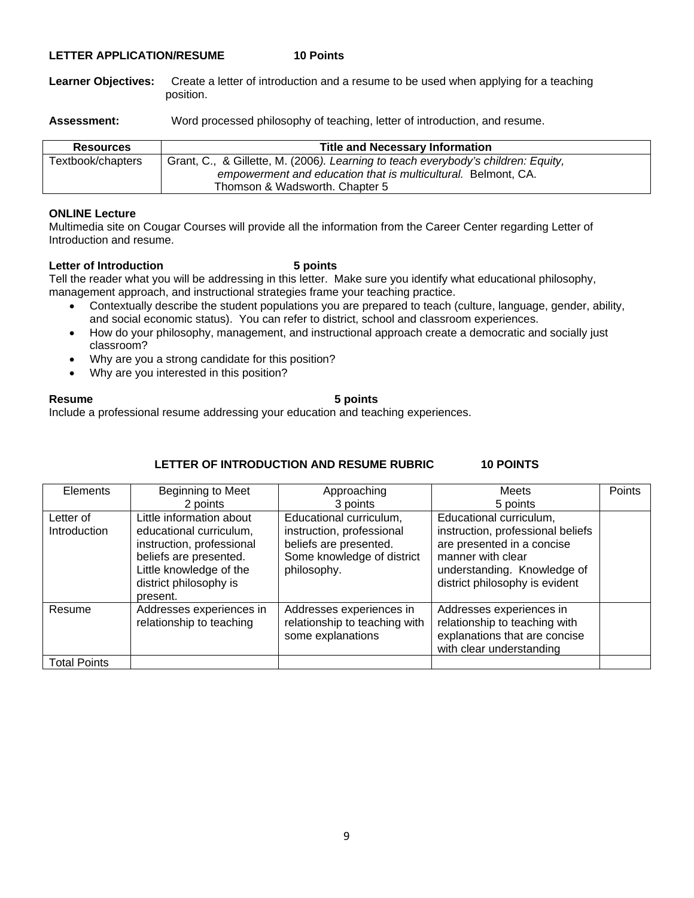## **LETTER APPLICATION/RESUME 10 Points**

**Learner Objectives:** Create a letter of introduction and a resume to be used when applying for a teaching position.

Assessment: Word processed philosophy of teaching, letter of introduction, and resume.

| <b>Resources</b>  | <b>Title and Necessary Information</b>                                            |
|-------------------|-----------------------------------------------------------------------------------|
| Textbook/chapters | Grant, C., & Gillette, M. (2006). Learning to teach everybody's children: Equity, |
|                   | empowerment and education that is multicultural. Belmont, CA.                     |
|                   | Thomson & Wadsworth, Chapter 5                                                    |

## **ONLINE Lecture**

Multimedia site on Cougar Courses will provide all the information from the Career Center regarding Letter of Introduction and resume.

## Letter of Introduction **5 points**

Tell the reader what you will be addressing in this letter. Make sure you identify what educational philosophy, management approach, and instructional strategies frame your teaching practice.

- Contextually describe the student populations you are prepared to teach (culture, language, gender, ability, and social economic status). You can refer to district, school and classroom experiences.
- How do your philosophy, management, and instructional approach create a democratic and socially just classroom?
- Why are you a strong candidate for this position?
- Why are you interested in this position?

## **Resume 5 points**

Include a professional resume addressing your education and teaching experiences.

# **LETTER OF INTRODUCTION AND RESUME RUBRIC 10 POINTS**

| Elements                  | Beginning to Meet                                                                                                                                                           | Approaching                                                                                                                 | Meets                                                                                                                                                                            | Points |
|---------------------------|-----------------------------------------------------------------------------------------------------------------------------------------------------------------------------|-----------------------------------------------------------------------------------------------------------------------------|----------------------------------------------------------------------------------------------------------------------------------------------------------------------------------|--------|
|                           | 2 points                                                                                                                                                                    | 3 points                                                                                                                    | 5 points                                                                                                                                                                         |        |
| Letter of<br>Introduction | Little information about<br>educational curriculum,<br>instruction, professional<br>beliefs are presented.<br>Little knowledge of the<br>district philosophy is<br>present. | Educational curriculum,<br>instruction, professional<br>beliefs are presented.<br>Some knowledge of district<br>philosophy. | Educational curriculum,<br>instruction, professional beliefs<br>are presented in a concise<br>manner with clear<br>understanding. Knowledge of<br>district philosophy is evident |        |
| Resume                    | Addresses experiences in<br>relationship to teaching                                                                                                                        | Addresses experiences in<br>relationship to teaching with<br>some explanations                                              | Addresses experiences in<br>relationship to teaching with<br>explanations that are concise<br>with clear understanding                                                           |        |
| <b>Total Points</b>       |                                                                                                                                                                             |                                                                                                                             |                                                                                                                                                                                  |        |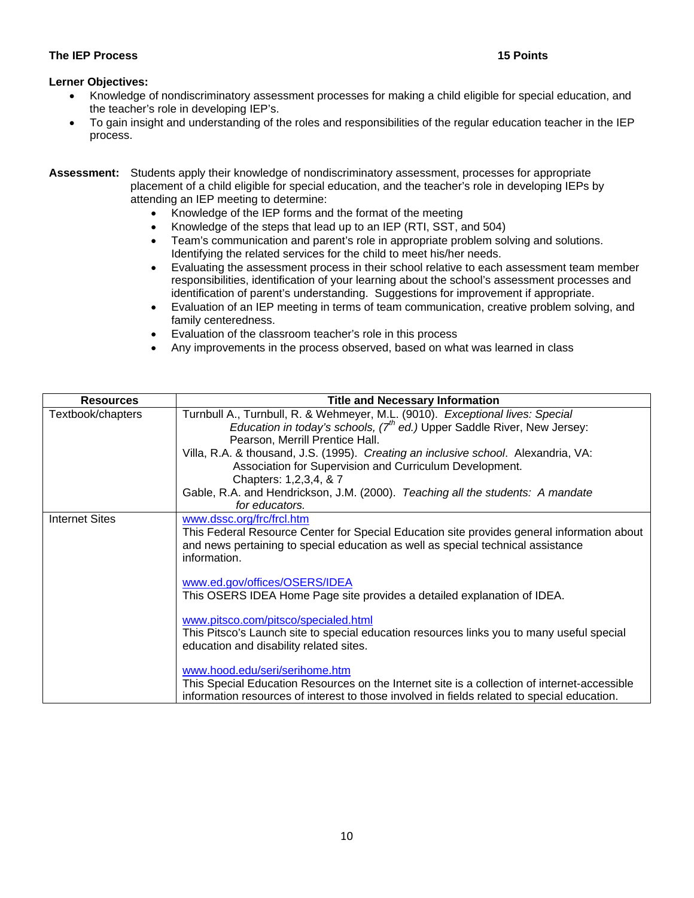# **The IEP Process 15 Points**

# **Lerner Objectives:**

- Knowledge of nondiscriminatory assessment processes for making a child eligible for special education, and the teacher's role in developing IEP's.
- To gain insight and understanding of the roles and responsibilities of the regular education teacher in the IEP process.

## **Assessment:** Students apply their knowledge of nondiscriminatory assessment, processes for appropriate placement of a child eligible for special education, and the teacher's role in developing IEPs by attending an IEP meeting to determine:

- Knowledge of the IEP forms and the format of the meeting
- Knowledge of the steps that lead up to an IEP (RTI, SST, and 504)
- Team's communication and parent's role in appropriate problem solving and solutions. Identifying the related services for the child to meet his/her needs.
- Evaluating the assessment process in their school relative to each assessment team member responsibilities, identification of your learning about the school's assessment processes and identification of parent's understanding. Suggestions for improvement if appropriate.
- Evaluation of an IEP meeting in terms of team communication, creative problem solving, and family centeredness.
- Evaluation of the classroom teacher's role in this process
- Any improvements in the process observed, based on what was learned in class

| <b>Resources</b>      | <b>Title and Necessary Information</b>                                                                                                                                                                                                                                                                                                                                                                                                                                                        |
|-----------------------|-----------------------------------------------------------------------------------------------------------------------------------------------------------------------------------------------------------------------------------------------------------------------------------------------------------------------------------------------------------------------------------------------------------------------------------------------------------------------------------------------|
| Textbook/chapters     | Turnbull A., Turnbull, R. & Wehmeyer, M.L. (9010). Exceptional lives: Special<br><i>Education in today's schools, <math>7th</math> ed.)</i> Upper Saddle River, New Jersey:<br>Pearson, Merrill Prentice Hall.<br>Villa, R.A. & thousand, J.S. (1995). Creating an inclusive school. Alexandria, VA:<br>Association for Supervision and Curriculum Development.<br>Chapters: 1,2,3,4, & 7<br>Gable, R.A. and Hendrickson, J.M. (2000). Teaching all the students: A mandate<br>for educators. |
| <b>Internet Sites</b> | www.dssc.org/frc/frcl.htm<br>This Federal Resource Center for Special Education site provides general information about<br>and news pertaining to special education as well as special technical assistance<br>information.<br>www.ed.gov/offices/OSERS/IDEA<br>This OSERS IDEA Home Page site provides a detailed explanation of IDEA.                                                                                                                                                       |
|                       | www.pitsco.com/pitsco/specialed.html<br>This Pitsco's Launch site to special education resources links you to many useful special<br>education and disability related sites.<br>www.hood.edu/seri/serihome.htm<br>This Special Education Resources on the Internet site is a collection of internet-accessible<br>information resources of interest to those involved in fields related to special education.                                                                                 |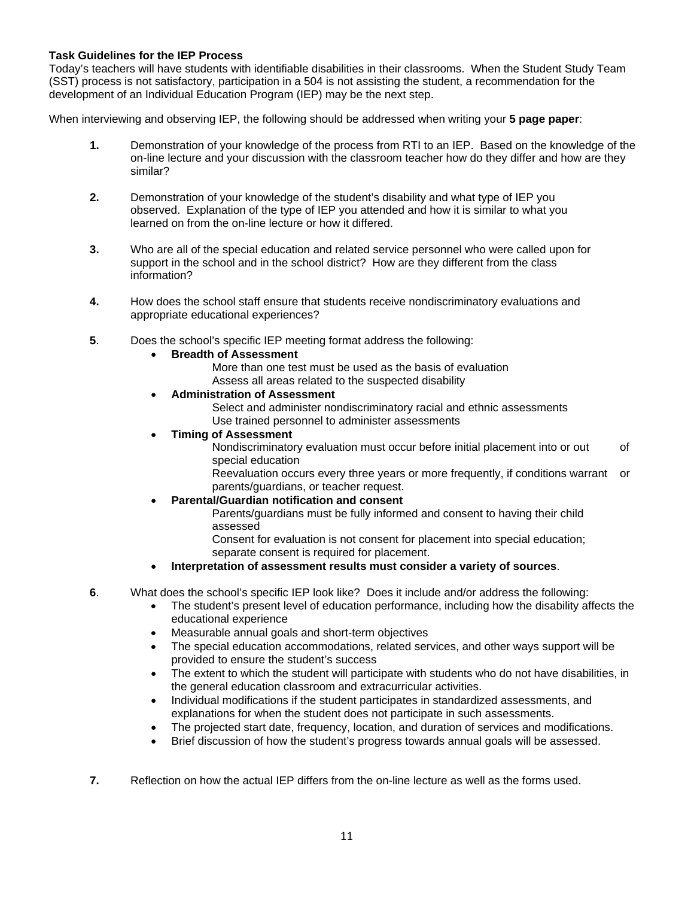# **Task Guidelines for the IEP Process**

Today's teachers will have students with identifiable disabilities in their classrooms. When the Student Study Team (SST) process is not satisfactory, participation in a 504 is not assisting the student, a recommendation for the development of an Individual Education Program (IEP) may be the next step.

When interviewing and observing IEP, the following should be addressed when writing your **5 page paper**:

- **1.** Demonstration of your knowledge of the process from RTI to an IEP. Based on the knowledge of the on-line lecture and your discussion with the classroom teacher how do they differ and how are they similar?
- observed. Explanation of the type of IEP you attended and how it is similar to what you **2.** Demonstration of your knowledge of the student's disability and what type of IEP you learned on from the on-line lecture or how it differed.
	- **3.** Who are all of the special education and related service personnel who were called upon for support in the school and in the school district? How are they different from the class information?
	- **4.** How does the school staff ensure that students receive nondiscriminatory evaluations and appropriate educational experiences?
	- **5**. Does the school's specific IEP meeting format address the following:
		- **Breadth of Assessment** 
			- More than one test must be used as the basis of evaluation Assess all areas related to the suspected disability
		- **Administration of Assessment**

Select and administer nondiscriminatory racial and ethnic assessments Use trained personnel to administer assessments

# **Timing of Assessment**

Nondiscriminatory evaluation must occur before initial placement into or out of special education

Reevaluation occurs every three years or more frequently, if conditions warrant or parents/guardians, or teacher request.

**Parental/Guardian notification and consent** 

Parents/guardians must be fully informed and consent to having their child assessed

Consent for evaluation is not consent for placement into special education; separate consent is required for placement.

- **Interpretation of assessment results must consider a variety of sources**.
- **6**. What does the school's specific IEP look like? Does it include and/or address the following:
	- The student's present level of education performance, including how the disability affects the educational experience
	- Measurable annual goals and short-term objectives
	- The special education accommodations, related services, and other ways support will be provided to ensure the student's success
	- The extent to which the student will participate with students who do not have disabilities, in the general education classroom and extracurricular activities.
	- Individual modifications if the student participates in standardized assessments, and explanations for when the student does not participate in such assessments.
	- The projected start date, frequency, location, and duration of services and modifications.
	- Brief discussion of how the student's progress towards annual goals will be assessed.
- **7.** Reflection on how the actual IEP differs from the on-line lecture as well as the forms used.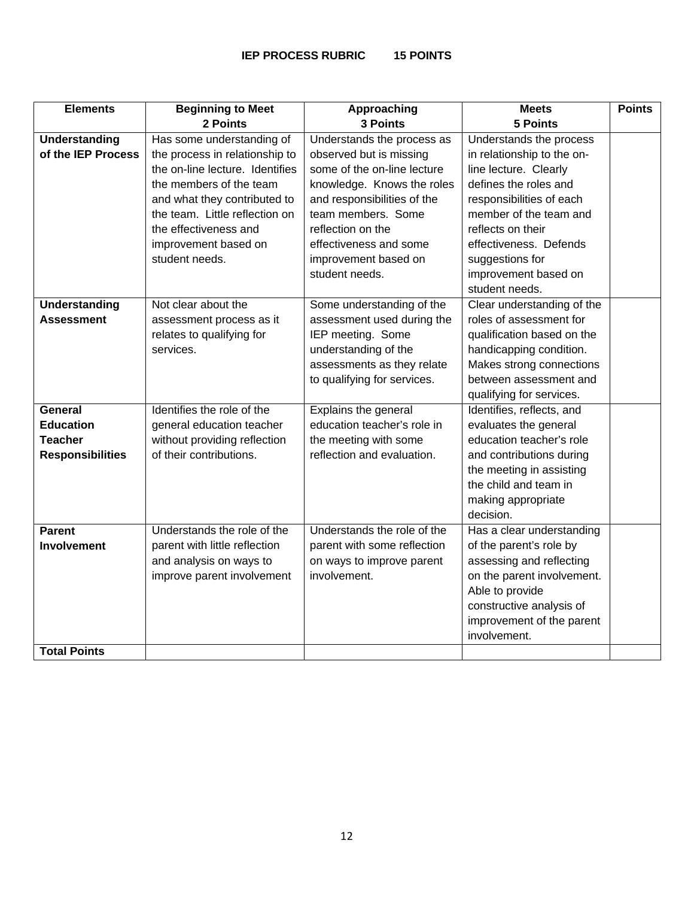| <b>Elements</b>         | <b>Beginning to Meet</b>        | Approaching                 | <b>Meets</b>               | <b>Points</b> |
|-------------------------|---------------------------------|-----------------------------|----------------------------|---------------|
|                         | 2 Points                        | 3 Points                    | <b>5 Points</b>            |               |
| <b>Understanding</b>    | Has some understanding of       | Understands the process as  | Understands the process    |               |
| of the IEP Process      | the process in relationship to  | observed but is missing     | in relationship to the on- |               |
|                         | the on-line lecture. Identifies | some of the on-line lecture | line lecture. Clearly      |               |
|                         | the members of the team         | knowledge. Knows the roles  | defines the roles and      |               |
|                         | and what they contributed to    | and responsibilities of the | responsibilities of each   |               |
|                         | the team. Little reflection on  | team members. Some          | member of the team and     |               |
|                         | the effectiveness and           | reflection on the           | reflects on their          |               |
|                         | improvement based on            | effectiveness and some      | effectiveness. Defends     |               |
|                         | student needs.                  | improvement based on        | suggestions for            |               |
|                         |                                 | student needs.              | improvement based on       |               |
|                         |                                 |                             | student needs.             |               |
| <b>Understanding</b>    | Not clear about the             | Some understanding of the   | Clear understanding of the |               |
| <b>Assessment</b>       | assessment process as it        | assessment used during the  | roles of assessment for    |               |
|                         | relates to qualifying for       | IEP meeting. Some           | qualification based on the |               |
|                         | services.                       | understanding of the        | handicapping condition.    |               |
|                         |                                 | assessments as they relate  | Makes strong connections   |               |
|                         |                                 | to qualifying for services. | between assessment and     |               |
|                         |                                 |                             | qualifying for services.   |               |
| <b>General</b>          | Identifies the role of the      | Explains the general        | Identifies, reflects, and  |               |
| <b>Education</b>        | general education teacher       | education teacher's role in | evaluates the general      |               |
| <b>Teacher</b>          | without providing reflection    | the meeting with some       | education teacher's role   |               |
| <b>Responsibilities</b> | of their contributions.         | reflection and evaluation.  | and contributions during   |               |
|                         |                                 |                             | the meeting in assisting   |               |
|                         |                                 |                             | the child and team in      |               |
|                         |                                 |                             | making appropriate         |               |
|                         |                                 |                             | decision.                  |               |
| <b>Parent</b>           | Understands the role of the     | Understands the role of the | Has a clear understanding  |               |
| <b>Involvement</b>      | parent with little reflection   | parent with some reflection | of the parent's role by    |               |
|                         | and analysis on ways to         | on ways to improve parent   | assessing and reflecting   |               |
|                         | improve parent involvement      | involvement.                | on the parent involvement. |               |
|                         |                                 |                             | Able to provide            |               |
|                         |                                 |                             | constructive analysis of   |               |
|                         |                                 |                             | improvement of the parent  |               |
|                         |                                 |                             | involvement.               |               |
| <b>Total Points</b>     |                                 |                             |                            |               |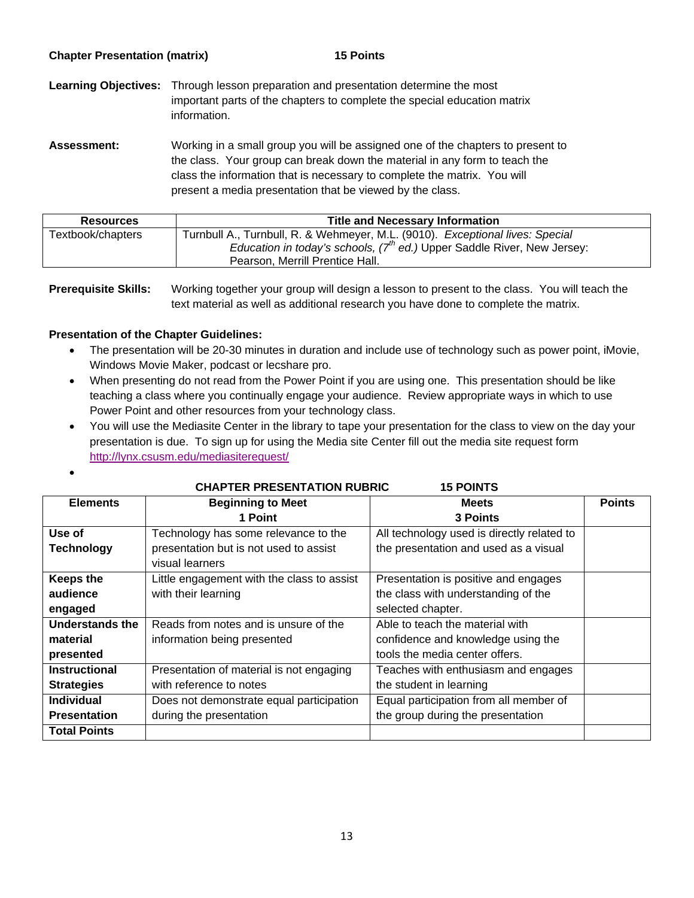|  | <b>Chapter Presentation (matrix)</b> |  |
|--|--------------------------------------|--|
|--|--------------------------------------|--|

**15 Points** 

**Learning Objectives:** Through lesson preparation and presentation determine the most important parts of the chapters to complete the special education matrix information.

Assessment: Working in a small group you will be assigned one of the chapters to present to the class. Your group can break down the material in any form to teach the class the information that is necessary to complete the matrix. You will present a media presentation that be viewed by the class.

| <b>Resources</b>  | <b>Title and Necessary Information</b>                                                                                                                                                          |
|-------------------|-------------------------------------------------------------------------------------------------------------------------------------------------------------------------------------------------|
| Textbook/chapters | Turnbull A., Turnbull, R. & Wehmeyer, M.L. (9010). Exceptional lives: Special<br>Education in today's schools, $7^{th}$ ed.) Upper Saddle River, New Jersey:<br>Pearson, Merrill Prentice Hall. |

**Prerequisite Skills:** Working together your group will design a lesson to present to the class. You will teach the text material as well as additional research you have done to complete the matrix.

# **Presentation of the Chapter Guidelines:**

 $\bullet$ 

- The presentation will be 20-30 minutes in duration and include use of technology such as power point, iMovie, Windows Movie Maker, podcast or lecshare pro.
- When presenting do not read from the Power Point if you are using one. This presentation should be like teaching a class where you continually engage your audience. Review appropriate ways in which to use Power Point and other resources from your technology class.
- http://lynx.csusm.edu/mediasiterequest/ You will use the Mediasite Center in the library to tape your presentation for the class to view on the day your presentation is due. To sign up for using the Media site Center fill out the media site request form

|                      | <b>CHAPTER PRESENTATION RUBRIC</b><br><b>15 POINTS</b> |                                            |               |  |  |  |
|----------------------|--------------------------------------------------------|--------------------------------------------|---------------|--|--|--|
| <b>Elements</b>      | <b>Beginning to Meet</b>                               | <b>Meets</b>                               | <b>Points</b> |  |  |  |
|                      | 1 Point                                                | 3 Points                                   |               |  |  |  |
| Use of               | Technology has some relevance to the                   | All technology used is directly related to |               |  |  |  |
| <b>Technology</b>    | presentation but is not used to assist                 | the presentation and used as a visual      |               |  |  |  |
|                      | visual learners                                        |                                            |               |  |  |  |
| <b>Keeps the</b>     | Little engagement with the class to assist             | Presentation is positive and engages       |               |  |  |  |
| audience             | with their learning                                    | the class with understanding of the        |               |  |  |  |
| engaged              |                                                        | selected chapter.                          |               |  |  |  |
| Understands the      | Reads from notes and is unsure of the                  | Able to teach the material with            |               |  |  |  |
| material             | information being presented                            | confidence and knowledge using the         |               |  |  |  |
| presented            |                                                        | tools the media center offers.             |               |  |  |  |
| <b>Instructional</b> | Presentation of material is not engaging               | Teaches with enthusiasm and engages        |               |  |  |  |
| <b>Strategies</b>    | with reference to notes                                | the student in learning                    |               |  |  |  |
| <b>Individual</b>    | Does not demonstrate equal participation               | Equal participation from all member of     |               |  |  |  |
| <b>Presentation</b>  | during the presentation                                | the group during the presentation          |               |  |  |  |
| <b>Total Points</b>  |                                                        |                                            |               |  |  |  |

# **CHAPTER PRESENTATION RUBRIC 15 POINTS**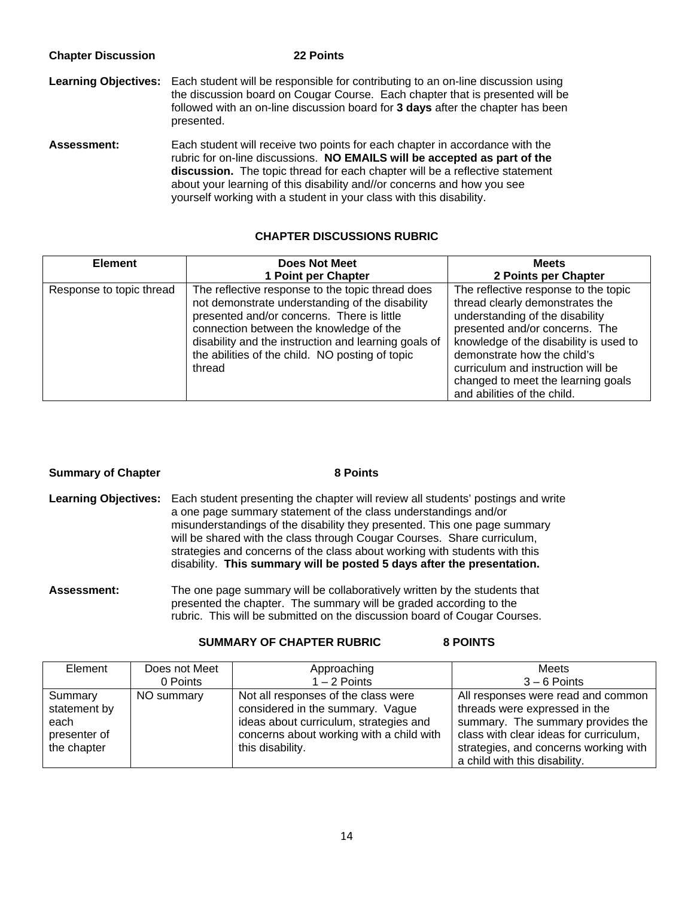| <b>Chapter Discussion</b>   | 22 Points                                                                                                                                                                                                                                                                                                                                                                                   |
|-----------------------------|---------------------------------------------------------------------------------------------------------------------------------------------------------------------------------------------------------------------------------------------------------------------------------------------------------------------------------------------------------------------------------------------|
| <b>Learning Objectives:</b> | Each student will be responsible for contributing to an on-line discussion using<br>the discussion board on Cougar Course. Each chapter that is presented will be<br>followed with an on-line discussion board for 3 days after the chapter has been<br>presented.                                                                                                                          |
| <b>Assessment:</b>          | Each student will receive two points for each chapter in accordance with the<br>rubric for on-line discussions. NO EMAILS will be accepted as part of the<br>discussion. The topic thread for each chapter will be a reflective statement<br>about your learning of this disability and//or concerns and how you see<br>yourself working with a student in your class with this disability. |

# **CHAPTER DISCUSSIONS RUBRIC**

| <b>Element</b>           | <b>Does Not Meet</b>                                                                                                                                                                                                                                                                                              | <b>Meets</b>                                                                                                                                                                                                                                                                                                                     |  |
|--------------------------|-------------------------------------------------------------------------------------------------------------------------------------------------------------------------------------------------------------------------------------------------------------------------------------------------------------------|----------------------------------------------------------------------------------------------------------------------------------------------------------------------------------------------------------------------------------------------------------------------------------------------------------------------------------|--|
|                          | 1 Point per Chapter                                                                                                                                                                                                                                                                                               | 2 Points per Chapter                                                                                                                                                                                                                                                                                                             |  |
| Response to topic thread | The reflective response to the topic thread does<br>not demonstrate understanding of the disability<br>presented and/or concerns. There is little<br>connection between the knowledge of the<br>disability and the instruction and learning goals of<br>the abilities of the child. NO posting of topic<br>thread | The reflective response to the topic<br>thread clearly demonstrates the<br>understanding of the disability<br>presented and/or concerns. The<br>knowledge of the disability is used to<br>demonstrate how the child's<br>curriculum and instruction will be<br>changed to meet the learning goals<br>and abilities of the child. |  |

| <b>Summary of Chapter</b> | 8 Points                                                                                                                                                                                                                                                                                                                                                                                                                                                                                 |
|---------------------------|------------------------------------------------------------------------------------------------------------------------------------------------------------------------------------------------------------------------------------------------------------------------------------------------------------------------------------------------------------------------------------------------------------------------------------------------------------------------------------------|
|                           | Learning Objectives: Each student presenting the chapter will review all students' postings and write<br>a one page summary statement of the class understandings and/or<br>misunderstandings of the disability they presented. This one page summary<br>will be shared with the class through Cougar Courses. Share curriculum,<br>strategies and concerns of the class about working with students with this<br>disability. This summary will be posted 5 days after the presentation. |
| <b>Assessment:</b>        | The one page summary will be collaboratively written by the students that<br>presented the chapter. The summary will be graded according to the                                                                                                                                                                                                                                                                                                                                          |

# **SUMMARY OF CHAPTER RUBRIC 8 POINTS**

| Element                                                        | Does not Meet | Approaching                                                                                                                                                                       | Meets                                                                                                                                                                                                                        |
|----------------------------------------------------------------|---------------|-----------------------------------------------------------------------------------------------------------------------------------------------------------------------------------|------------------------------------------------------------------------------------------------------------------------------------------------------------------------------------------------------------------------------|
|                                                                | 0 Points      | $1 - 2$ Points                                                                                                                                                                    | $3 - 6$ Points                                                                                                                                                                                                               |
| Summary<br>statement by<br>each<br>presenter of<br>the chapter | NO summary    | Not all responses of the class were<br>considered in the summary. Vague<br>ideas about curriculum, strategies and<br>concerns about working with a child with<br>this disability. | All responses were read and common<br>threads were expressed in the<br>summary. The summary provides the<br>class with clear ideas for curriculum,<br>strategies, and concerns working with<br>a child with this disability. |

rubric. This will be submitted on the discussion board of Cougar Courses.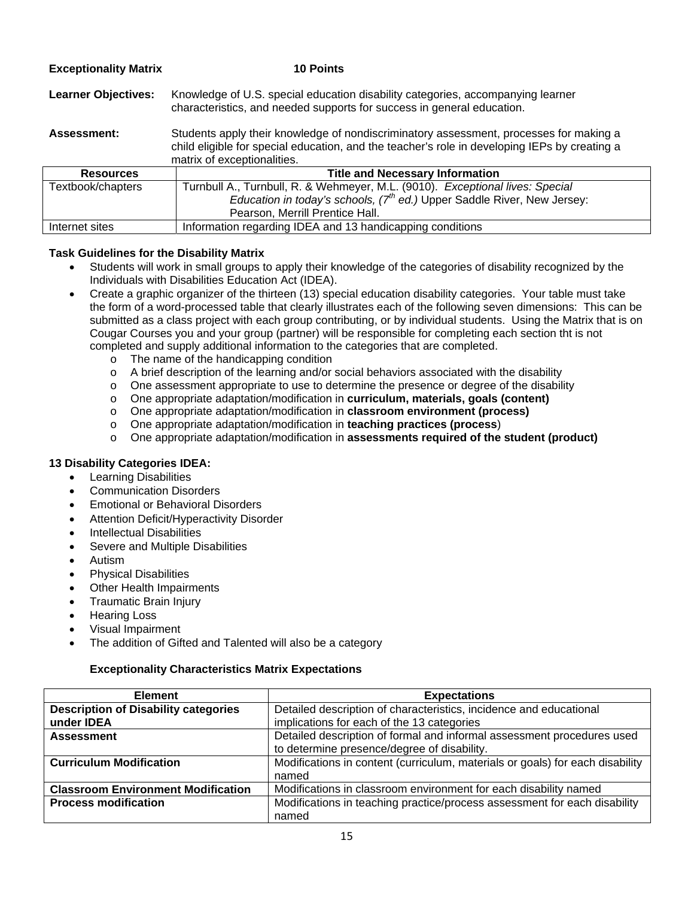| <b>Exceptionality Matrix</b> | <b>10 Points</b>                                                                                                                                                                                                       |
|------------------------------|------------------------------------------------------------------------------------------------------------------------------------------------------------------------------------------------------------------------|
| <b>Learner Objectives:</b>   | Knowledge of U.S. special education disability categories, accompanying learner<br>characteristics, and needed supports for success in general education.                                                              |
| <b>Assessment:</b>           | Students apply their knowledge of nondiscriminatory assessment, processes for making a<br>child eligible for special education, and the teacher's role in developing IEPs by creating a<br>matrix of exceptionalities. |
| <b>Resources</b>             | <b>Title and Necessary Information</b>                                                                                                                                                                                 |
| Textbook/chapters            | Turnbull A., Turnbull, R. & Wehmeyer, M.L. (9010). Exceptional lives: Special                                                                                                                                          |
|                              | Education in today's schools, $7th$ ed.) Upper Saddle River, New Jersey:                                                                                                                                               |
|                              | Pearson, Merrill Prentice Hall.                                                                                                                                                                                        |
| Internet sites               | Information regarding IDEA and 13 handicapping conditions                                                                                                                                                              |

# **Task Guidelines for the Disability Matrix**

- Students will work in small groups to apply their knowledge of the categories of disability recognized by the Individuals with Disabilities Education Act (IDEA).
- Create a graphic organizer of the thirteen (13) special education disability categories. Your table must take the form of a word-processed table that clearly illustrates each of the following seven dimensions: This can be submitted as a class project with each group contributing, or by individual students. Using the Matrix that is on Cougar Courses you and your group (partner) will be responsible for completing each section tht is not completed and supply additional information to the categories that are completed.
	- o The name of the handicapping condition
	- $\circ$  A brief description of the learning and/or social behaviors associated with the disability
	- $\circ$  One assessment appropriate to use to determine the presence or degree of the disability
	- o One appropriate adaptation/modification in **curriculum, materials, goals (content)**
	- o One appropriate adaptation/modification in **classroom environment (process)**
	- o One appropriate adaptation/modification in **teaching practices (process**)
	- o One appropriate adaptation/modification in **assessments required of the student (product)**

## **13 Disability Categories IDEA:**

- Learning Disabilities
- Communication Disorders
- **Emotional or Behavioral Disorders**
- Attention Deficit/Hyperactivity Disorder
- Intellectual Disabilities
- Severe and Multiple Disabilities
- Autism
- Physical Disabilities
- Other Health Impairments
- Traumatic Brain Injury
- Hearing Loss
- Visual Impairment
- The addition of Gifted and Talented will also be a category

## **Exceptionality Characteristics Matrix Expectations**

| <b>Element</b>                              | <b>Expectations</b>                                                           |  |
|---------------------------------------------|-------------------------------------------------------------------------------|--|
| <b>Description of Disability categories</b> | Detailed description of characteristics, incidence and educational            |  |
| under <b>IDEA</b>                           | implications for each of the 13 categories                                    |  |
| <b>Assessment</b>                           | Detailed description of formal and informal assessment procedures used        |  |
|                                             | to determine presence/degree of disability.                                   |  |
| <b>Curriculum Modification</b>              | Modifications in content (curriculum, materials or goals) for each disability |  |
|                                             | named                                                                         |  |
| <b>Classroom Environment Modification</b>   | Modifications in classroom environment for each disability named              |  |
| <b>Process modification</b>                 | Modifications in teaching practice/process assessment for each disability     |  |
|                                             | named                                                                         |  |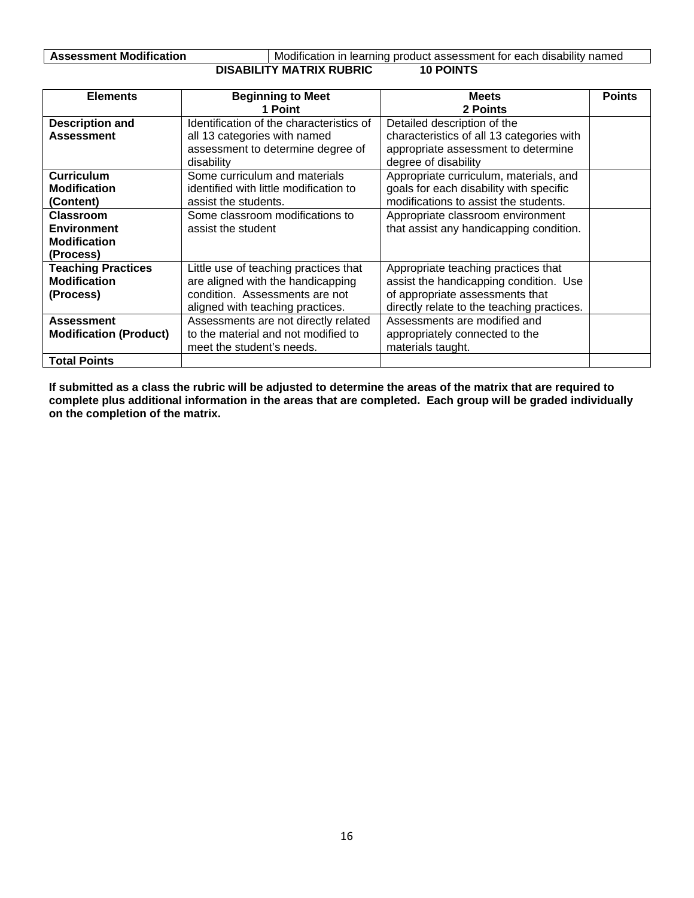**DISABILITY MATRIX RUBRIC 10 POINTS**  Assessment Modification **Modification Modification** in learning product assessment for each disability named

| <b>Elements</b>               | <b>Beginning to Meet</b>                 | <b>Meets</b>                               | <b>Points</b> |
|-------------------------------|------------------------------------------|--------------------------------------------|---------------|
|                               | 1 Point                                  | 2 Points                                   |               |
| <b>Description and</b>        | Identification of the characteristics of | Detailed description of the                |               |
| <b>Assessment</b>             | all 13 categories with named             | characteristics of all 13 categories with  |               |
|                               | assessment to determine degree of        | appropriate assessment to determine        |               |
|                               | disability                               | degree of disability                       |               |
| <b>Curriculum</b>             | Some curriculum and materials            | Appropriate curriculum, materials, and     |               |
| <b>Modification</b>           | identified with little modification to   | goals for each disability with specific    |               |
| (Content)                     | assist the students.                     | modifications to assist the students.      |               |
| <b>Classroom</b>              | Some classroom modifications to          | Appropriate classroom environment          |               |
| <b>Environment</b>            | assist the student                       | that assist any handicapping condition.    |               |
| <b>Modification</b>           |                                          |                                            |               |
| (Process)                     |                                          |                                            |               |
| <b>Teaching Practices</b>     | Little use of teaching practices that    | Appropriate teaching practices that        |               |
| <b>Modification</b>           | are aligned with the handicapping        | assist the handicapping condition. Use     |               |
| (Process)                     | condition. Assessments are not           | of appropriate assessments that            |               |
|                               | aligned with teaching practices.         | directly relate to the teaching practices. |               |
| <b>Assessment</b>             | Assessments are not directly related     | Assessments are modified and               |               |
| <b>Modification (Product)</b> | to the material and not modified to      | appropriately connected to the             |               |
|                               | meet the student's needs.                | materials taught.                          |               |
| <b>Total Points</b>           |                                          |                                            |               |

**If submitted as a class the rubric will be adjusted to determine the areas of the matrix that are required to complete plus additional information in the areas that are completed. Each group will be graded individually on the completion of the matrix.**